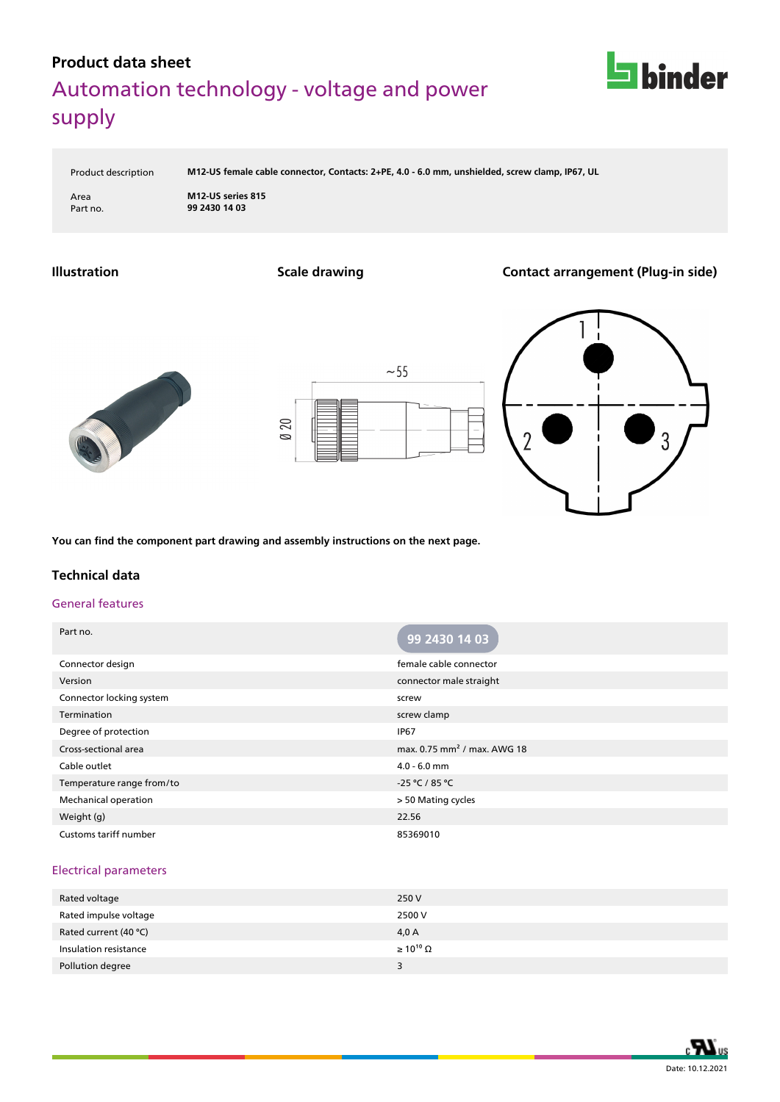

Product description **M12-US female cable connector, Contacts: 2+PE, 4.0 - 6.0 mm, unshielded, screw clamp, IP67, UL**

Area **M12-US series 815** Part no. **99 2430 14 03**

**Illustration Scale drawing Contact arrangement (Plug-in side)**







**You can find the component part drawing and assembly instructions on the next page.**

### **Technical data**

#### General features

| Part no.                     | 99 2430 14 03                           |
|------------------------------|-----------------------------------------|
| Connector design             | female cable connector                  |
| Version                      | connector male straight                 |
| Connector locking system     | screw                                   |
| Termination                  | screw clamp                             |
| Degree of protection         | <b>IP67</b>                             |
| Cross-sectional area         | max. 0.75 mm <sup>2</sup> / max. AWG 18 |
| Cable outlet                 | $4.0 - 6.0$ mm                          |
| Temperature range from/to    | $-25 °C / 85 °C$                        |
| Mechanical operation         | > 50 Mating cycles                      |
| Weight (g)                   | 22.56                                   |
| <b>Customs tariff number</b> | 85369010                                |

#### Electrical parameters

| Rated voltage         | 250 V                 |
|-----------------------|-----------------------|
| Rated impulse voltage | 2500 V                |
| Rated current (40 °C) | 4,0 A                 |
| Insulation resistance | $\geq 10^{10} \Omega$ |
| Pollution degree      | 5.                    |
|                       |                       |

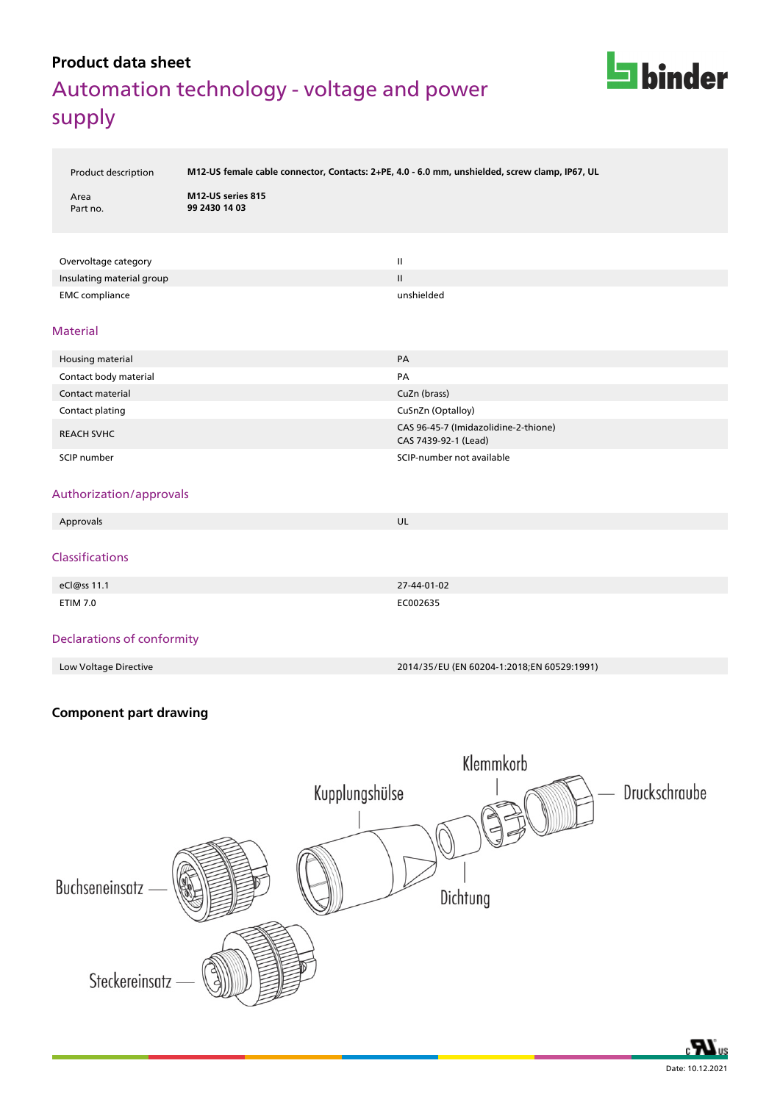

Product description **M12-US female cable connector, Contacts: 2+PE, 4.0 - 6.0 mm, unshielded, screw clamp, IP67, UL**

| Area     |  |
|----------|--|
| Part no. |  |

**M12-US series 815** Part no. **99 2430 14 03**

| Overvoltage category      | Ш             |
|---------------------------|---------------|
| Insulating material group | $\mathbf{II}$ |
| <b>EMC</b> compliance     | unshielded    |

#### Material

| Housing material      | PA                                                           |
|-----------------------|--------------------------------------------------------------|
| Contact body material | PA                                                           |
| Contact material      | CuZn (brass)                                                 |
| Contact plating       | CuSnZn (Optalloy)                                            |
| <b>REACH SVHC</b>     | CAS 96-45-7 (Imidazolidine-2-thione)<br>CAS 7439-92-1 (Lead) |
| SCIP number           | SCIP-number not available                                    |

### Authorization/approvals

| Approvals                                  | UL          |
|--------------------------------------------|-------------|
| Classifications                            |             |
| eCl@ss 11.1                                | 27-44-01-02 |
| <b>ETIM 7.0</b>                            | EC002635    |
| The characteristic and complete state that |             |

#### Declarations of conformity

Low Voltage Directive 2014/35/EU (EN 60204-1:2018;EN 60529:1991)

### **Component part drawing**



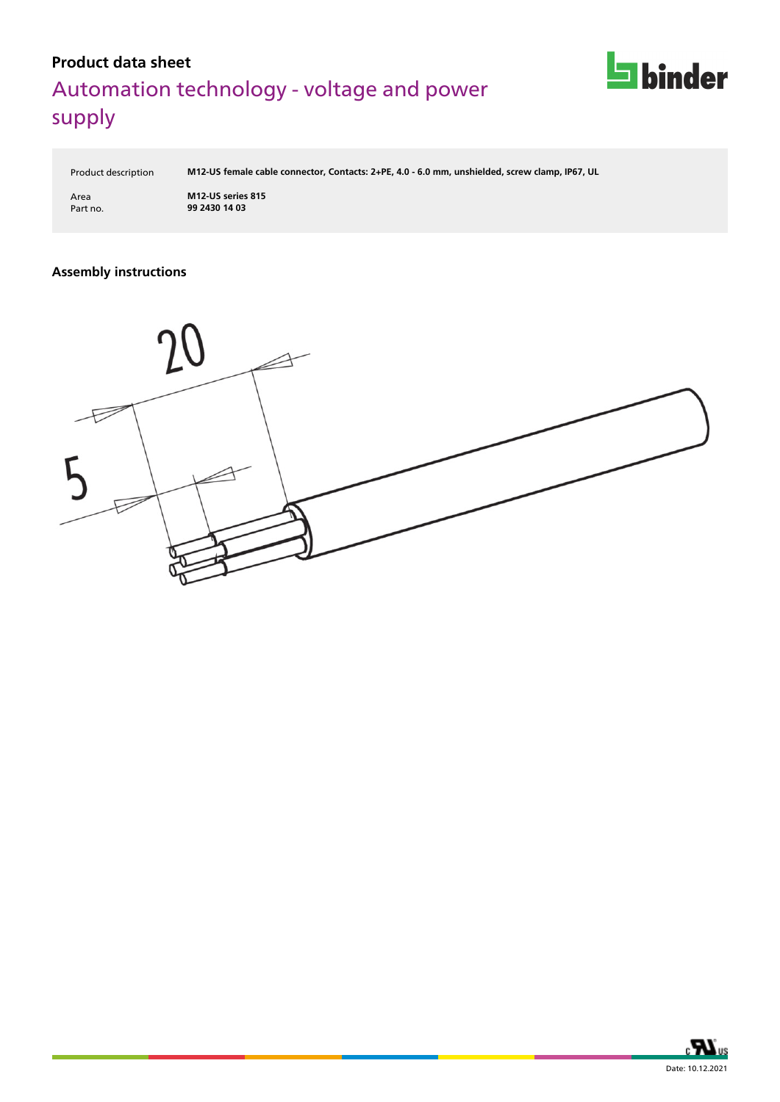

Product description **M12-US female cable connector, Contacts: 2+PE, 4.0 - 6.0 mm, unshielded, screw clamp, IP67, UL**

Area **M12-US series 815** Part no. **99 2430 14 03**

### **Assembly instructions**